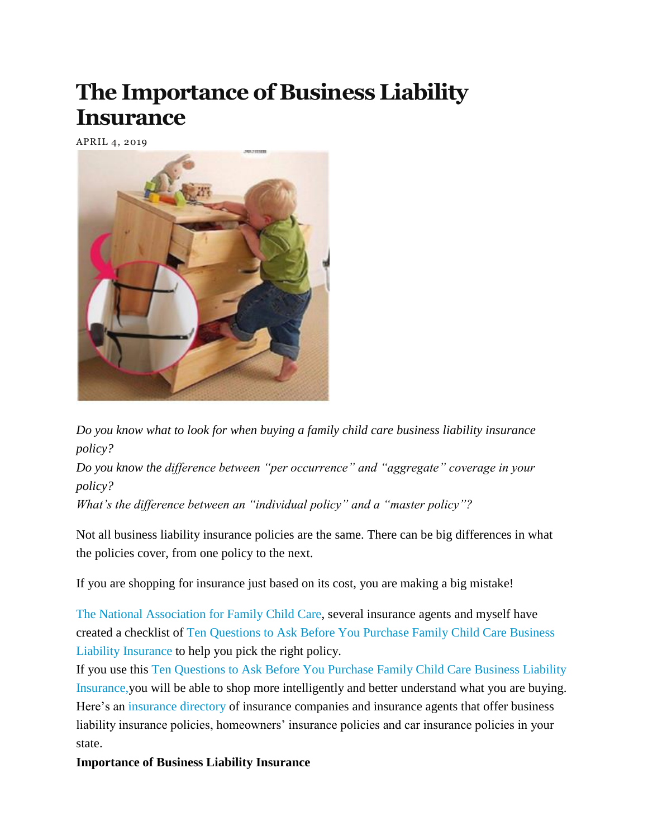## **The Importance of Business Liability Insurance**

APRIL 4, 2019



*Do you know what to look for when buying a family child care business liability insurance policy?*

*Do you know the difference between "per occurrence" and "aggregate" coverage in your policy?*

*What's the difference between an "individual policy" and a "master policy"?*

Not all business liability insurance policies are the same. There can be big differences in what the policies cover, from one policy to the next.

If you are shopping for insurance just based on its cost, you are making a big mistake!

[The National Association for Family Child Care,](http://www.nafcc.org/) several insurance agents and myself have created a checklist of [Ten Questions to Ask Before You Purchase Family Child Care Business](http://tomcopelandblog.com/ten-questions-ask-purchase-family-child-care-business-liability-insurance)  [Liability Insurance](http://tomcopelandblog.com/ten-questions-ask-purchase-family-child-care-business-liability-insurance) to help you pick the right policy.

If you use this [Ten Questions to Ask Before You Purchase Family Child Care Business Liability](http://tomcopelandblog.com/ten-questions-ask-purchase-family-child-care-business-liability-insurance)  [Insurance](http://tomcopelandblog.com/ten-questions-ask-purchase-family-child-care-business-liability-insurance)[,y](http://tomcopelandblog.com/ten-questions-to-ask-before-purchasing-business-liability-insurance)ou will be able to shop more intelligently and better understand what you are buying. Here's an [insurance directory](http://tomcopelandblog.com/child-care-insurance-directory-3) of insurance companies and insurance agents that offer business liability insurance policies, homeowners' insurance policies and car insurance policies in your state.

## **Importance of Business Liability Insurance**